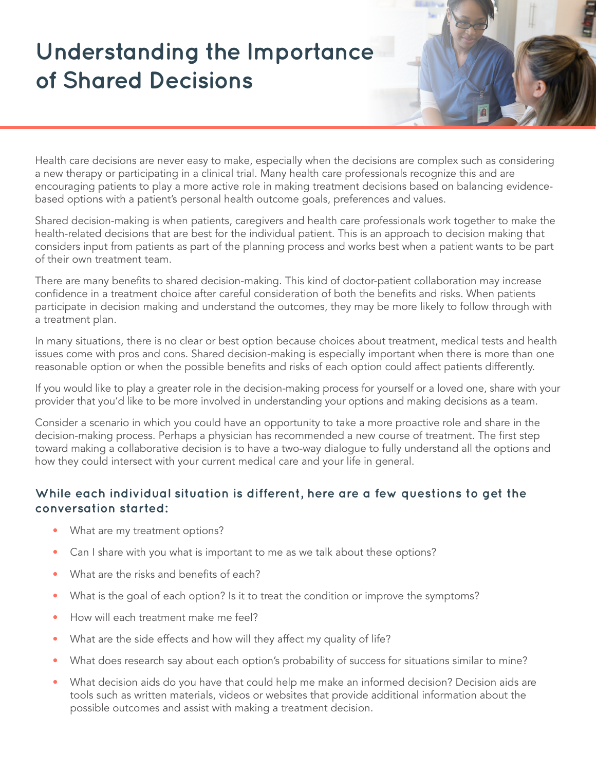## **Understanding the Importance of Shared Decisions**



Health care decisions are never easy to make, especially when the decisions are complex such as considering a new therapy or participating in a clinical trial. Many health care professionals recognize this and are encouraging patients to play a more active role in making treatment decisions based on balancing evidencebased options with a patient's personal health outcome goals, preferences and values.

Shared decision-making is when patients, caregivers and health care professionals work together to make the health-related decisions that are best for the individual patient. This is an approach to decision making that considers input from patients as part of the planning process and works best when a patient wants to be part of their own treatment team.

There are many benefits to shared decision-making. This kind of doctor-patient collaboration may increase confidence in a treatment choice after careful consideration of both the benefits and risks. When patients participate in decision making and understand the outcomes, they may be more likely to follow through with a treatment plan.

In many situations, there is no clear or best option because choices about treatment, medical tests and health issues come with pros and cons. Shared decision-making is especially important when there is more than one reasonable option or when the possible benefits and risks of each option could affect patients differently.

If you would like to play a greater role in the decision-making process for yourself or a loved one, share with your provider that you'd like to be more involved in understanding your options and making decisions as a team.

Consider a scenario in which you could have an opportunity to take a more proactive role and share in the decision-making process. Perhaps a physician has recommended a new course of treatment. The first step toward making a collaborative decision is to have a two-way dialogue to fully understand all the options and how they could intersect with your current medical care and your life in general.

## **While each individual situation is different, here are a few questions to get the conversation started:**

- What are my treatment options?
- Can I share with you what is important to me as we talk about these options?
- What are the risks and benefits of each?
- What is the goal of each option? Is it to treat the condition or improve the symptoms?
- How will each treatment make me feel?
- What are the side effects and how will they affect my quality of life?
- What does research say about each option's probability of success for situations similar to mine?
- What decision aids do you have that could help me make an informed decision? Decision aids are tools such as written materials, videos or websites that provide additional information about the possible outcomes and assist with making a treatment decision.